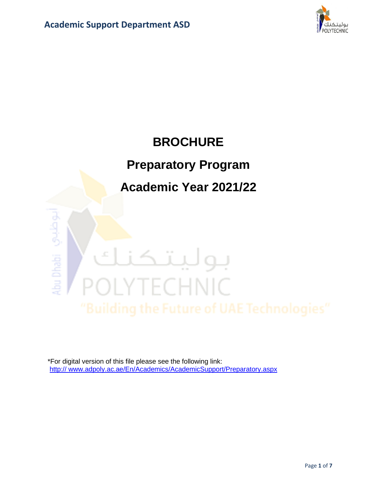

# **BROCHURE Preparatory Program**

## **Academic Year 2021/22**

# لبوطبي idsu Dhabi بو ECHNIC

\*For digital version of this file please see the following link: [http://](http://www.adpoly.ac.ae/En/Academics/AcademicSupport/PlacementExams/Pages/ExamPolicy.aspx) www.adpoly.ac.ae/En/Academics/AcademicSupport/Preparatory.aspx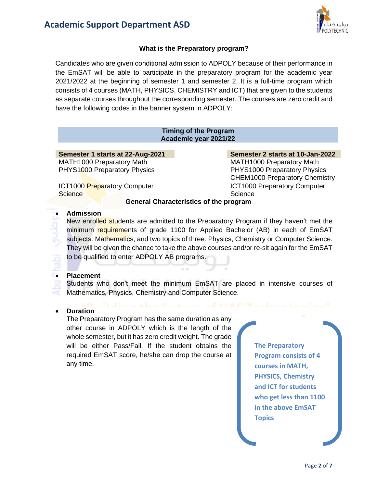

#### **What is the Preparatory program?**

Candidates who are given conditional admission to ADPOLY because of their performance in the EmSAT will be able to participate in the preparatory program for the academic year 2021/2022 at the beginning of semester 1 and semester 2. It is a full-time program which consists of 4 courses (MATH, PHYSICS, CHEMISTRY and ICT) that are given to the students as separate courses throughout the corresponding semester. The courses are zero credit and have the following codes in the banner system in ADPOLY:

#### **Timing of the Program Academic year 2021/22**

#### **Semester 1 starts at 22-Aug-2021 Semester 2 starts at 10-Jan-2022** MATH1000 Preparatory Math MATH1000 Preparatory Math

**ICT1000 Preparatory Computer Science** 

PHYS1000 Preparatory Physics **PHYS1000 Preparatory Physics** CHEM1000 Preparatory Chemistry ICT1000 Preparatory Computer **Science** 

#### **General Characteristics of the program**

#### • **Admission**

New enrolled students are admitted to the Preparatory Program if they haven't met the minimum requirements of grade 1100 for Applied Bachelor (AB) in each of EmSAT subjects: Mathematics, and two topics of three: Physics, Chemistry or Computer Science. They will be given the chance to take the above courses and/or re-sit again for the EmSAT to be qualified to enter ADPOLY AB programs.

#### • **Placement**

Students who don't meet the minimum EmSAT are placed in intensive courses of Mathematics, Physics, Chemistry and Computer Science. a ser

#### • **Duration**

The Preparatory Program has the same duration as any other course in ADPOLY which is the length of the whole semester, but it has zero credit weight. The grade will be either Pass/Fail. If the student obtains the required EmSAT score, he/she can drop the course at any time.

**The Preparatory Program consists of 4 courses in MATH, PHYSICS, Chemistry and ICT for students who get less than 1100 in the above EmSAT Topics**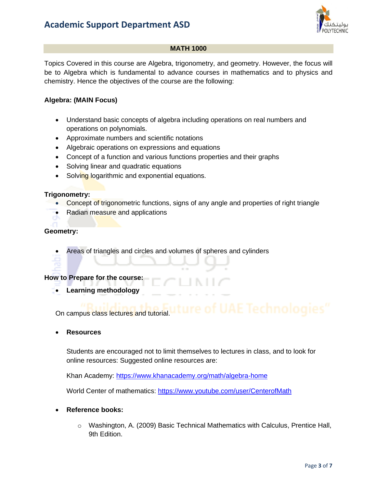

#### **MATH 1000**

Topics Covered in this course are Algebra, trigonometry, and geometry. However, the focus will be to Algebra which is fundamental to advance courses in mathematics and to physics and chemistry. Hence the objectives of the course are the following:

#### **Algebra: (MAIN Focus)**

- Understand basic concepts of algebra including operations on real numbers and operations on polynomials.
- Approximate numbers and scientific notations
- Algebraic operations on expressions and equations
- Concept of a function and various functions properties and their graphs
- Solving linear and quadratic equations
- Solving logarithmic and exponential equations.

#### **Trigonometry:**

- Concept of trigonometric functions, signs of any angle and properties of right triangle
- Radian measure and applications

#### **Geometry:**

• Areas of triangles and circles and volumes of spheres and cylinders

#### **How to Prepare for the course:**

• **Learning methodology**

## On campus class lectures and tutorial.

• **Resources**

Students are encouraged not to limit themselves to lectures in class, and to look for online resources: Suggested online resources are:

Khan Academy: [https://www.khanacademy.org/math/algebra](https://www.khanacademy.org/math/algebra‐home)‐home

World Center of mathematics: <https://www.youtube.com/user/CenterofMath>

- **Reference books:**
	- $\circ$  Washington, A. (2009) Basic Technical Mathematics with Calculus, Prentice Hall, 9th Edition.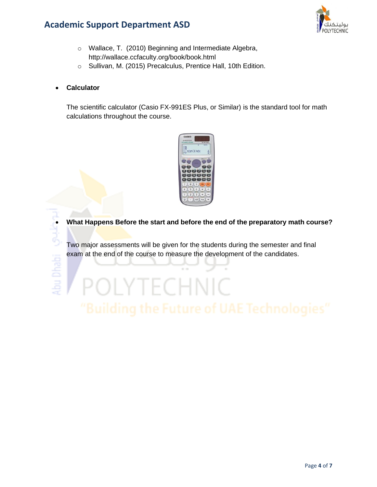### **Academic Support Department ASD**



- o Wallace, T. (2010) Beginning and Intermediate Algebra, http://wallace.ccfaculty.org/book/book.html
- o Sullivan, M. (2015) Precalculus, Prentice Hall, 10th Edition.
- **Calculator**

The scientific calculator (Casio FX-991ES Plus, or Similar) is the standard tool for math calculations throughout the course.



• **What Happens Before the start and before the end of the preparatory math course?**<br>Two major assessments will be given for the students during the semester and final<br>exam at the end of the course to measure the developme Two major assessments will be given for the students during the semester and final exam at the end of the course to measure the development of the candidates.

**OLYTECHNIC**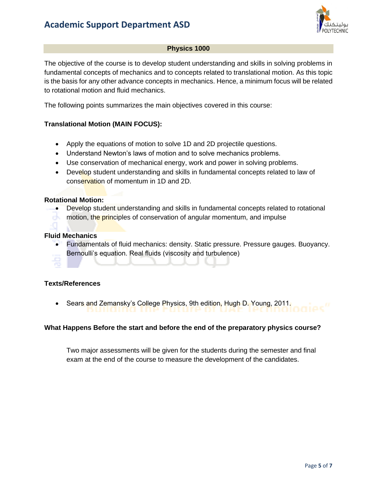

#### **Physics 1000**

The objective of the course is to develop student understanding and skills in solving problems in fundamental concepts of mechanics and to concepts related to translational motion. As this topic is the basis for any other advance concepts in mechanics. Hence, a minimum focus will be related to rotational motion and fluid mechanics.

The following points summarizes the main objectives covered in this course:

#### **Translational Motion (MAIN FOCUS):**

- Apply the equations of motion to solve 1D and 2D projectile questions.
- Understand Newton's laws of motion and to solve mechanics problems.
- Use conservation of mechanical energy, work and power in solving problems.
- Develop student understanding and skills in fundamental concepts related to law of conservation of momentum in 1D and 2D.

#### **Rotational Motion:**

• Develop student understanding and skills in fundamental concepts related to rotational ek i motion, the principles of conservation of angular momentum, and impulse

#### **Fluid Mechanics**

• Fundamentals of fluid mechanics: density. Static pressure. Pressure gauges. Buoyancy. Bernoulli's equation. Real fluids (viscosity and turbulence)

#### **Texts/References**

• Sears and Zemansky's College Physics, 9th edition, Hugh D. Young, 2011.

#### **What Happens Before the start and before the end of the preparatory physics course?**

Two major assessments will be given for the students during the semester and final exam at the end of the course to measure the development of the candidates.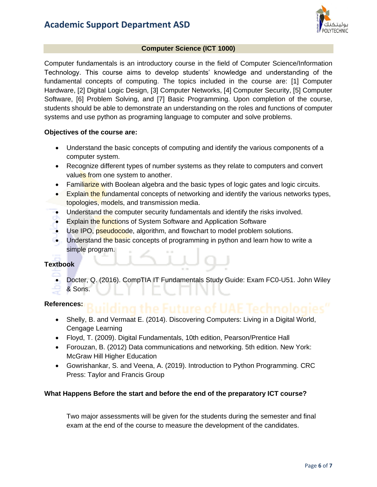

#### **Computer Science (ICT 1000)**

Computer fundamentals is an introductory course in the field of Computer Science/Information Technology. This course aims to develop students' knowledge and understanding of the fundamental concepts of computing. The topics included in the course are: [1] Computer Hardware, [2] Digital Logic Design, [3] Computer Networks, [4] Computer Security, [5] Computer Software, [6] Problem Solving, and [7] Basic Programming. Upon completion of the course, students should be able to demonstrate an understanding on the roles and functions of computer systems and use python as programing language to computer and solve problems.

#### **Objectives of the course are:**

- Understand the basic concepts of computing and identify the various components of a computer system.
- Recognize different types of number systems as they relate to computers and convert values from one system to another.
- Familiarize with Boolean algebra and the basic types of logic gates and logic circuits.
- Explain the fundamental concepts of networking and identify the various networks types, topologies, models, and transmission media.
- Understand the computer security fundamentals and identify the risks involved.
- Explain the functions of System Software and Application Software
- Use IPO, pseudocode, algorithm, and flowchart to model problem solutions.
- Understand the basic concepts of programming in python and learn how to write a simple program.

#### **Textbook**

- Docter, Q. (2016). CompTIA IT Fundamentals Study Guide: Exam FC0-U51. John Wiley & Sons.
- 

#### **References:**

- Shelly, B. and Vermaat E. (2014). Discovering Computers: Living in a Digital World, Cengage Learning
- Floyd, T. (2009). Digital Fundamentals, 10th edition, Pearson/Prentice Hall
- Forouzan, B. (2012) Data communications and networking. 5th edition. New York: McGraw Hill Higher Education
- Gowrishankar, S. and Veena, A. (2019). Introduction to Python Programming. CRC Press: Taylor and Francis Group

#### **What Happens Before the start and before the end of the preparatory ICT course?**

Two major assessments will be given for the students during the semester and final exam at the end of the course to measure the development of the candidates.